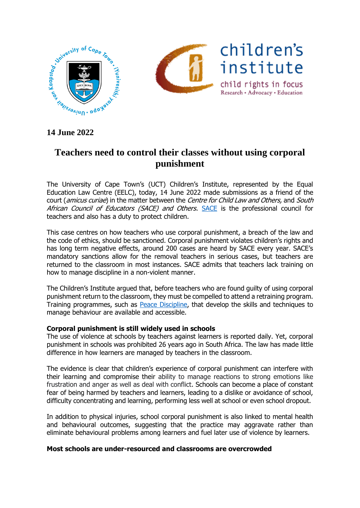

# **Teachers need to control their classes without using corporal punishment**

The University of Cape Town's (UCT) Children's Institute, represented by the Equal Education Law Centre (EELC), today, 14 June 2022 made submissions as a friend of the court (amicus curiae) in the matter between the Centre for Child Law and Others, and South African Council of Educators ([SACE](https://www.sace.org.za/)) and Others. SACE is the professional council for teachers and also has a duty to protect children.

This case centres on how teachers who use corporal punishment, a breach of the law and the code of ethics, should be sanctioned. Corporal punishment violates children's rights and has long term negative effects, around 200 cases are heard by SACE every year. SACE's mandatory sanctions allow for the removal teachers in serious cases, but teachers are returned to the classroom in most instances. SACE admits that teachers lack training on how to manage discipline in a non-violent manner.

The Children's Institute argued that, before teachers who are found guilty of using corporal punishment return to the classroom, they must be compelled to attend a retraining program. Training programmes, such as **Peace Discipline**, that develop the skills and techniques to manage behaviour are available and accessible.

## **Corporal punishment is still widely used in schools**

The use of violence at schools by teachers against learners is reported daily. Yet, corporal punishment in schools was prohibited 26 years ago in South Africa. The law has made little difference in how learners are managed by teachers in the classroom.

The evidence is clear that children's experience of corporal punishment can interfere with their learning and compromise their ability to manage reactions to strong emotions like frustration and anger as well as deal with conflict. Schools can become a place of constant fear of being harmed by teachers and learners, leading to a dislike or avoidance of school, difficulty concentrating and learning, performing less well at school or even school dropout.

In addition to physical injuries, school corporal punishment is also linked to mental health and behavioural outcomes, suggesting that the practice may aggravate rather than eliminate behavioural problems among learners and fuel later use of violence by learners.

## **Most schools are under-resourced and classrooms are overcrowded**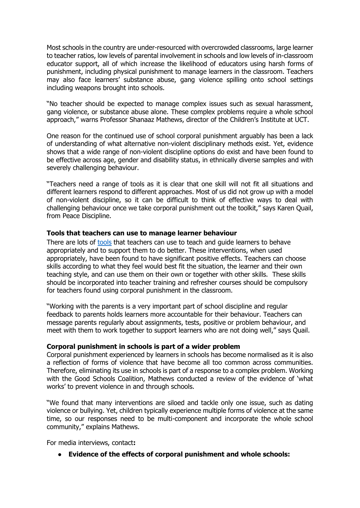Most schools in the country are under-resourced with overcrowded classrooms, large learner to teacher ratios, low levels of parental involvement in schools and low levels of in-classroom educator support, all of which increase the likelihood of educators using harsh forms of punishment, including physical punishment to manage learners in the classroom. Teachers may also face learners' substance abuse, gang violence spilling onto school settings including weapons brought into schools.

"No teacher should be expected to manage complex issues such as sexual harassment, gang violence, or substance abuse alone. These complex problems require a whole school approach," warns Professor Shanaaz Mathews, director of the Children's Institute at UCT.

One reason for the continued use of school corporal punishment arguably has been a lack of understanding of what alternative non-violent disciplinary methods exist. Yet, evidence shows that a wide range of non-violent discipline options do exist and have been found to be effective across age, gender and disability status, in ethnically diverse samples and with severely challenging behaviour.

"Teachers need a range of tools as it is clear that one skill will not fit all situations and different learners respond to different approaches. Most of us did not grow up with a model of non-violent discipline, so it can be difficult to think of effective ways to deal with challenging behaviour once we take corporal punishment out the toolkit," says Karen Quail, from Peace Discipline.

### **Tools that teachers can use to manage learner behaviour**

There are lots of [tools](https://www.peacediscipline.com/toolkit.html#containing-skills) that teachers can use to teach and guide learners to behave appropriately and to support them to do better. These interventions, when used appropriately, have been found to have significant positive effects. Teachers can choose skills according to what they feel would best fit the situation, the learner and their own teaching style, and can use them on their own or together with other skills. These skills should be incorporated into teacher training and refresher courses should be compulsory for teachers found using corporal punishment in the classroom.

"Working with the parents is a very important part of school discipline and regular feedback to parents holds learners more accountable for their behaviour. Teachers can message parents regularly about assignments, tests, positive or problem behaviour, and meet with them to work together to support learners who are not doing well," says Quail.

### **Corporal punishment in schools is part of a wider problem**

Corporal punishment experienced by learners in schools has become normalised as it is also a reflection of forms of violence that have become all too common across communities. Therefore, eliminating its use in schools is part of a response to a complex problem. Working with the Good Schools Coalition, Mathews conducted a review of the evidence of 'what works' to prevent violence in and through schools.

"We found that many interventions are siloed and tackle only one issue, such as dating violence or bullying. Yet, children typically experience multiple forms of violence at the same time, so our responses need to be multi-component and incorporate the whole school community," explains Mathews.

For media interviews, contact**:**

● **Evidence of the effects of corporal punishment and whole schools:**